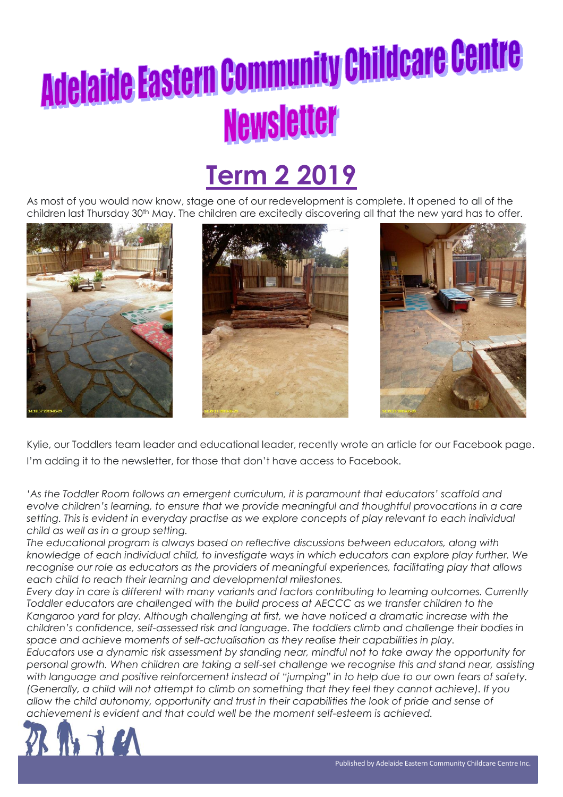### **Term 2 2019**

As most of you would now know, stage one of our redevelopment is complete. It opened to all of the children last Thursday 30<sup>th</sup> May. The children are excitedly discovering all that the new yard has to offer.







Kylie, our Toddlers team leader and educational leader, recently wrote an article for our Facebook page. I'm adding it to the newsletter, for those that don't have access to Facebook.

'*As the Toddler Room follows an emergent curriculum, it is paramount that educators' scaffold and evolve children's learning, to ensure that we provide meaningful and thoughtful provocations in a care setting. This is evident in everyday practise as we explore concepts of play relevant to each individual child as well as in a group setting.*

*The educational program is always based on reflective discussions between educators, along with knowledge of each individual child, to investigate ways in which educators can explore play further. We recognise our role as educators as the providers of meaningful experiences, facilitating play that allows each child to reach their learning and developmental milestones.*

*Every day in care is different with many variants and factors contributing to learning outcomes. Currently Toddler educators are challenged with the build process at AECCC as we transfer children to the Kangaroo yard for play. Although challenging at first, we have noticed a dramatic increase with the children's confidence, self-assessed risk and language. The toddlers climb and challenge their bodies in space and achieve moments of self-actualisation as they realise their capabilities in play.*

*Educators use a dynamic risk assessment by standing near, mindful not to take away the opportunity for personal growth. When children are taking a self-set challenge we recognise this and stand near, assisting with language and positive reinforcement instead of "jumping" in to help due to our own fears of safety. (Generally, a child will not attempt to climb on something that they feel they cannot achieve). If you allow the child autonomy, opportunity and trust in their capabilities the look of pride and sense of achievement is evident and that could well be the moment self-esteem is achieved.*

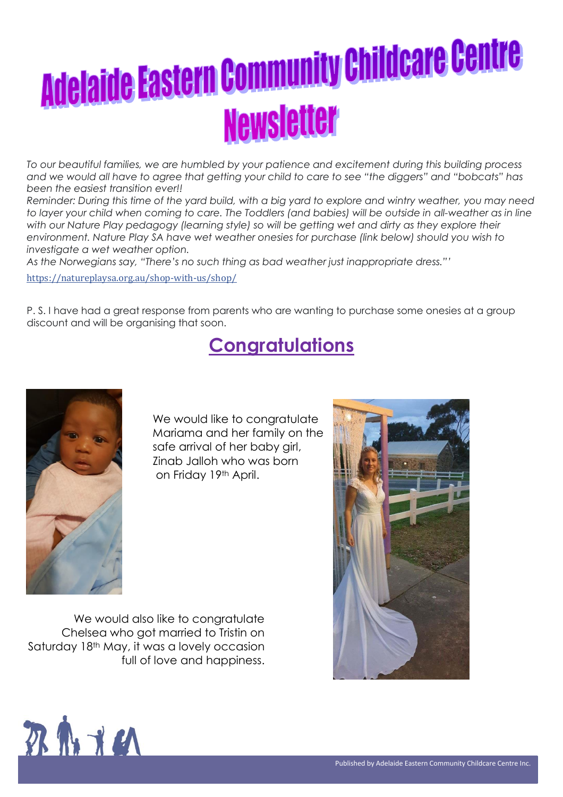*To our beautiful families, we are humbled by your patience and excitement during this building process and we would all have to agree that getting your child to care to see "the diggers" and "bobcats" has been the easiest transition ever!!*

*Reminder: During this time of the yard build, with a big yard to explore and wintry weather, you may need*  to layer your child when coming to care. The Toddlers (and babies) will be outside in all-weather as in line *with our Nature Play pedagogy (learning style) so will be getting wet and dirty as they explore their environment. Nature Play SA have wet weather onesies for purchase (link below) should you wish to investigate a wet weather option.*

*As the Norwegians say, "There's no such thing as bad weather just inappropriate dress."'*

[https://natureplaysa.org.au/shop-with-us/shop/](https://l.facebook.com/l.php?u=https%3A%2F%2Fnatureplaysa.org.au%2Fshop-with-us%2Fshop%2F%3Ffbclid%3DIwAR1qR7HGuNQ2Ve62zjvkzVdfjOLwn55p028EZGj5-GrKJsOYaARRI3XM6N4&h=AT3k5bEMoqhdbo6dkUMz8pR7eLC-gr_nbCBRZ5wnPNH3IPQJ7zkacdDUhtLybYQOmROgXuVsoeBR202AGyeWZfMRV-Hufr1mTKVpQYxNzimMAOIuj72ShgmD5cn1HKmGSauJbjxZE87tqW506mcXwK8wZdWWd6tE6sxXGxy61eU6tMi9-a81TSMA_pQ_K1e03DDEo52Ynrkl3h1XvUbjOwkjyr6sJtQFR90XIy68LpwcNnZNVYlACZt9i7_1tNOcjouUyQVP1bNGYinPiHLRGQZKNos9584u5vzHPWSUVeSI15eu5ua935wFetIqct2iwN6WBLBP0K8J8m4tjhQNsth9rjBry6AN3wl3Pd6SF1DBCwyaDeB0QP_yQ751qcEEkz90dV_uns93rsZIOWAmKEZEeRALd-VRknrhRldtx3V53xKvKXbv9uWdPTMnwDSJ4F7F6WpVMISMDtGuVHMNX6AGMBD45ZHiYEUMiAljqdIhA0Zp3Z38BLD8DtkEc0q6T0kMKhbLf7QXsWlyAtcqz9aQTERonOStCsOTvSXZCENQG9vSI46K5CgHjZ50Ywj6TcYo6LVxEWaqt4VY4ciTY4EV4Iy0ELMx8Sby5nNeRkaLVj_9BvNNVKUQSeewqU0l8Ow)

P. S. I have had a great response from parents who are wanting to purchase some onesies at a group discount and will be organising that soon.

### **Congratulations**



We would like to congratulate Mariama and her family on the safe arrival of her baby girl, Zinab Jalloh who was born on Friday 19th April.

We would also like to congratulate Chelsea who got married to Tristin on Saturday 18<sup>th</sup> May, it was a lovely occasion full of love and happiness.



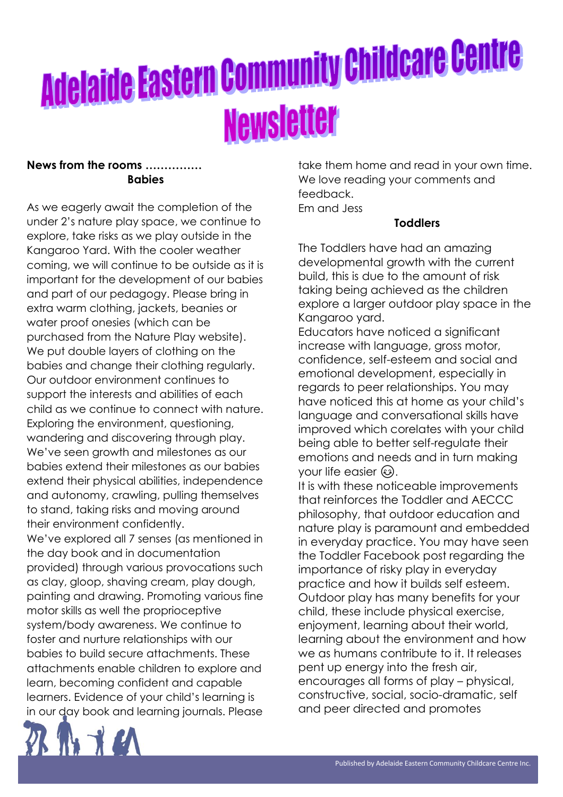#### **News from the rooms …………… Babies**

As we eagerly await the completion of the under 2's nature play space, we continue to explore, take risks as we play outside in the Kangaroo Yard. With the cooler weather coming, we will continue to be outside as it is important for the development of our babies and part of our pedagogy. Please bring in extra warm clothing, jackets, beanies or water proof onesies (which can be purchased from the Nature Play website). We put double layers of clothing on the babies and change their clothing regularly. Our outdoor environment continues to support the interests and abilities of each child as we continue to connect with nature. Exploring the environment, questioning, wandering and discovering through play. We've seen growth and milestones as our babies extend their milestones as our babies extend their physical abilities, independence and autonomy, crawling, pulling themselves to stand, taking risks and moving around their environment confidently. We've explored all 7 senses (as mentioned in the day book and in documentation provided) through various provocations such as clay, gloop, shaving cream, play dough, painting and drawing. Promoting various fine motor skills as well the proprioceptive system/body awareness. We continue to foster and nurture relationships with our babies to build secure attachments. These attachments enable children to explore and learn, becoming confident and capable learners. Evidence of your child's learning is in our day book and learning journals. Please



#### **Toddlers**

The Toddlers have had an amazing developmental growth with the current build, this is due to the amount of risk taking being achieved as the children explore a larger outdoor play space in the Kangaroo yard.

Educators have noticed a significant increase with language, gross motor, confidence, self-esteem and social and emotional development, especially in regards to peer relationships. You may have noticed this at home as your child's language and conversational skills have improved which corelates with your child being able to better self-regulate their emotions and needs and in turn making your life easier  $\circled{e}$ .

It is with these noticeable improvements that reinforces the Toddler and AECCC philosophy, that outdoor education and nature play is paramount and embedded in everyday practice. You may have seen the Toddler Facebook post regarding the importance of risky play in everyday practice and how it builds self esteem. Outdoor play has many benefits for your child, these include physical exercise, enjoyment, learning about their world, learning about the environment and how we as humans contribute to it. It releases pent up energy into the fresh air, encourages all forms of play – physical, constructive, social, socio-dramatic, self and peer directed and promotes

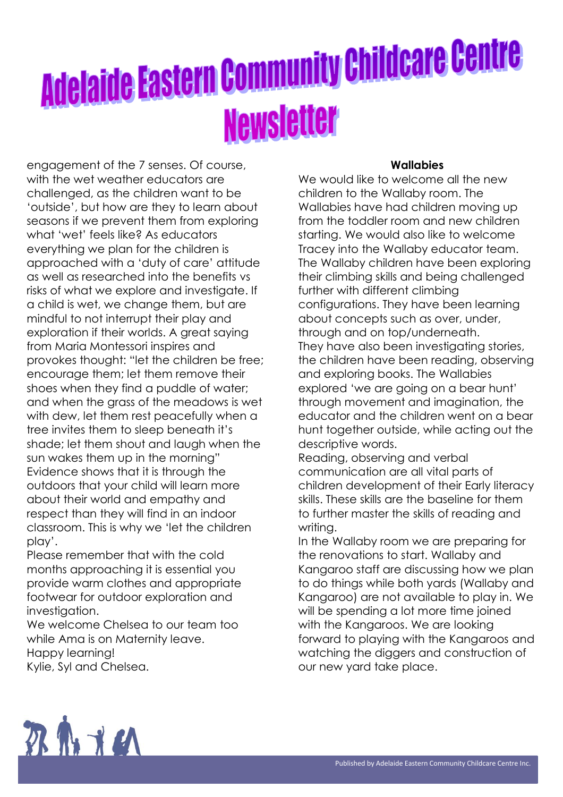engagement of the 7 senses. Of course, with the wet weather educators are challenged, as the children want to be 'outside', but how are they to learn about seasons if we prevent them from exploring what 'wet' feels like? As educators everything we plan for the children is approached with a 'duty of care' attitude as well as researched into the benefits vs risks of what we explore and investigate. If a child is wet, we change them, but are mindful to not interrupt their play and exploration if their worlds. A great saying from Maria Montessori inspires and provokes thought: "let the children be free; encourage them; let them remove their shoes when they find a puddle of water; and when the grass of the meadows is wet with dew, let them rest peacefully when a tree invites them to sleep beneath it's shade; let them shout and laugh when the sun wakes them up in the morning" Evidence shows that it is through the outdoors that your child will learn more about their world and empathy and respect than they will find in an indoor classroom. This is why we 'let the children play'.

Please remember that with the cold months approaching it is essential you provide warm clothes and appropriate footwear for outdoor exploration and investigation.

We welcome Chelsea to our team too while Ama is on Maternity leave. Happy learning! Kylie, Syl and Chelsea.

#### **Wallabies**

We would like to welcome all the new children to the Wallaby room. The Wallabies have had children moving up from the toddler room and new children starting. We would also like to welcome Tracey into the Wallaby educator team. The Wallaby children have been exploring their climbing skills and being challenged further with different climbing configurations. They have been learning about concepts such as over, under, through and on top/underneath. They have also been investigating stories, the children have been reading, observing and exploring books. The Wallabies explored 'we are going on a bear hunt' through movement and imagination, the educator and the children went on a bear hunt together outside, while acting out the descriptive words.

Reading, observing and verbal communication are all vital parts of children development of their Early literacy skills. These skills are the baseline for them to further master the skills of reading and writing.

In the Wallaby room we are preparing for the renovations to start. Wallaby and Kangaroo staff are discussing how we plan to do things while both yards (Wallaby and Kangaroo) are not available to play in. We will be spending a lot more time joined with the Kangaroos. We are looking forward to playing with the Kangaroos and watching the diggers and construction of our new yard take place.